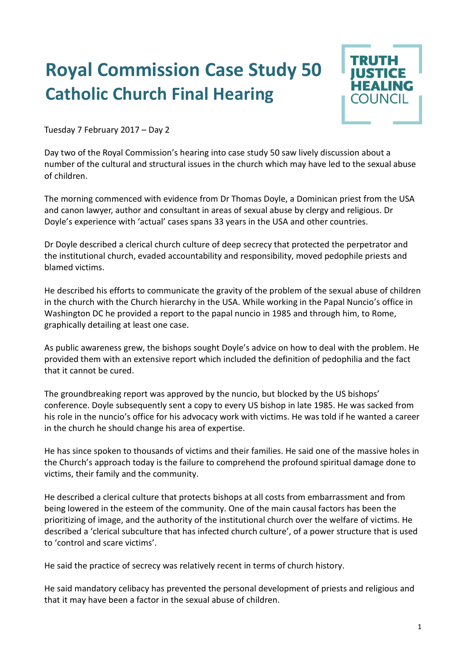## **Royal Commission Case Study 50 Catholic Church Final Hearing**



Tuesday 7 February 2017 – Day 2

Day two of the Royal Commission's hearing into case study 50 saw lively discussion about a number of the cultural and structural issues in the church which may have led to the sexual abuse of children.

The morning commenced with evidence from Dr Thomas Doyle, a Dominican priest from the USA and canon lawyer, author and consultant in areas of sexual abuse by clergy and religious. Dr Doyle's experience with 'actual' cases spans 33 years in the USA and other countries.

Dr Doyle described a clerical church culture of deep secrecy that protected the perpetrator and the institutional church, evaded accountability and responsibility, moved pedophile priests and blamed victims.

He described his efforts to communicate the gravity of the problem of the sexual abuse of children in the church with the Church hierarchy in the USA. While working in the Papal Nuncio's office in Washington DC he provided a report to the papal nuncio in 1985 and through him, to Rome, graphically detailing at least one case.

As public awareness grew, the bishops sought Doyle's advice on how to deal with the problem. He provided them with an extensive report which included the definition of pedophilia and the fact that it cannot be cured.

The groundbreaking report was approved by the nuncio, but blocked by the US bishops' conference. Doyle subsequently sent a copy to every US bishop in late 1985. He was sacked from his role in the nuncio's office for his advocacy work with victims. He was told if he wanted a career in the church he should change his area of expertise.

He has since spoken to thousands of victims and their families. He said one of the massive holes in the Church's approach today is the failure to comprehend the profound spiritual damage done to victims, their family and the community.

He described a clerical culture that protects bishops at all costs from embarrassment and from being lowered in the esteem of the community. One of the main causal factors has been the prioritizing of image, and the authority of the institutional church over the welfare of victims. He described a 'clerical subculture that has infected church culture', of a power structure that is used to 'control and scare victims'.

He said the practice of secrecy was relatively recent in terms of church history.

He said mandatory celibacy has prevented the personal development of priests and religious and that it may have been a factor in the sexual abuse of children.